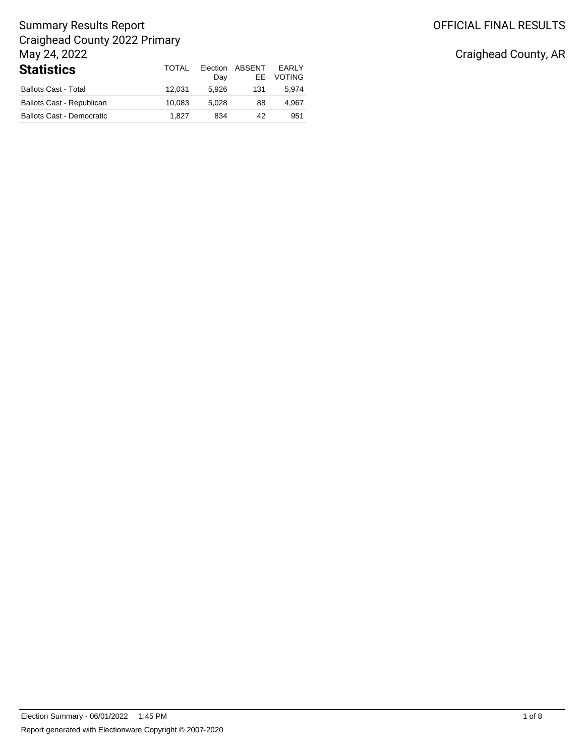# OFFICIAL FINAL RESULTS

## Summary Results Report Craighead County 2022 Primary May 24, 2022 **Statistics** TOTAL

| <b>Statistics</b>                | TOTAL  | Election<br>Day | ABSENT<br>FF. | <b>FARIY</b><br><b>VOTING</b> |
|----------------------------------|--------|-----------------|---------------|-------------------------------|
| <b>Ballots Cast - Total</b>      | 12.031 | 5.926           | 131           | 5.974                         |
| <b>Ballots Cast - Republican</b> | 10.083 | 5.028           | 88            | 4.967                         |
| <b>Ballots Cast - Democratic</b> | 1.827  | 834             | 42            | 951                           |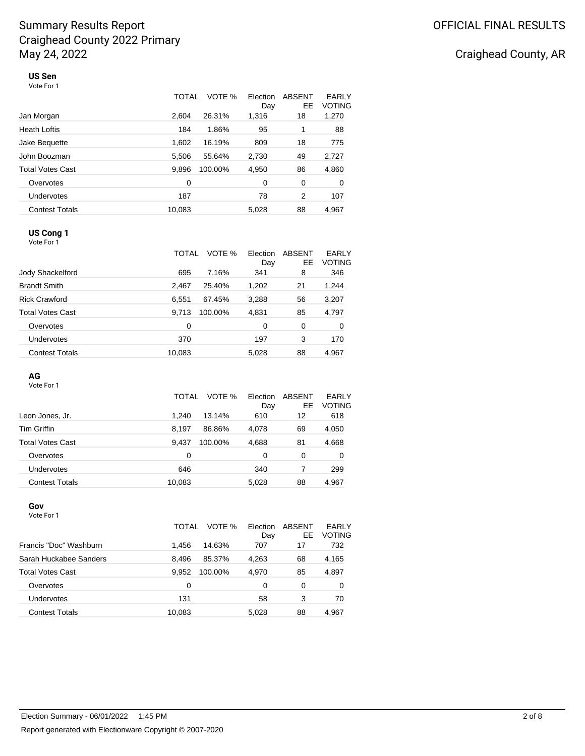# Craighead County, AR

#### **US Sen** Vote For 1

|                         | TOTAL  | VOTE %  | Election<br>Day | ABSENT<br>EE | EARLY<br><b>VOTING</b> |
|-------------------------|--------|---------|-----------------|--------------|------------------------|
| Jan Morgan              | 2.604  | 26.31%  | 1,316           | 18           | 1,270                  |
| <b>Heath Loftis</b>     | 184    | 1.86%   | 95              | 1            | 88                     |
| Jake Bequette           | 1,602  | 16.19%  | 809             | 18           | 775                    |
| John Boozman            | 5,506  | 55.64%  | 2,730           | 49           | 2,727                  |
| <b>Total Votes Cast</b> | 9,896  | 100.00% | 4,950           | 86           | 4,860                  |
| Overvotes               | 0      |         | 0               | 0            | 0                      |
| Undervotes              | 187    |         | 78              | 2            | 107                    |
| <b>Contest Totals</b>   | 10,083 |         | 5,028           | 88           | 4,967                  |

## **US Cong 1**

Vote For 1

|                         | TOTAL  | VOTE %  | Election<br>Day | ABSENT<br>EE. | EARLY<br><b>VOTING</b> |
|-------------------------|--------|---------|-----------------|---------------|------------------------|
| Jody Shackelford        | 695    | 7.16%   | 341             | 8             | 346                    |
| <b>Brandt Smith</b>     | 2,467  | 25.40%  | 1,202           | 21            | 1,244                  |
| <b>Rick Crawford</b>    | 6.551  | 67.45%  | 3,288           | 56            | 3,207                  |
| <b>Total Votes Cast</b> | 9.713  | 100.00% | 4,831           | 85            | 4,797                  |
| Overvotes               | 0      |         | 0               | 0             | 0                      |
| Undervotes              | 370    |         | 197             | 3             | 170                    |
| <b>Contest Totals</b>   | 10,083 |         | 5,028           | 88            | 4.967                  |

#### **AG**

Vote For 1

|                         | TOTAL            | VOTE %<br>Election<br>Day | ABSENT<br>EE | EARLY<br><b>VOTING</b> |
|-------------------------|------------------|---------------------------|--------------|------------------------|
| Leon Jones, Jr.         | 1.240<br>13.14%  | 610                       | 12           | 618                    |
| <b>Tim Griffin</b>      | 8.197<br>86.86%  | 4,078                     | 69           | 4,050                  |
| <b>Total Votes Cast</b> | 9.437<br>100.00% | 4,688                     | 81           | 4,668                  |
| Overvotes               | 0                | 0                         | 0            | 0                      |
| Undervotes              | 646              | 340                       | 7            | 299                    |
| <b>Contest Totals</b>   | 10,083           | 5.028                     | 88           | 4.967                  |

#### **Gov** Vote For 1

|                        | VOTE %<br>TOTAL  | Election<br>Day | ABSENT<br>EE. | EARLY<br><b>VOTING</b> |
|------------------------|------------------|-----------------|---------------|------------------------|
| Francis "Doc" Washburn | 14.63%<br>1.456  | 707             | 17            | 732                    |
| Sarah Huckabee Sanders | 8.496<br>85.37%  | 4,263           | 68            | 4,165                  |
| Total Votes Cast       | 9.952<br>100.00% | 4,970           | 85            | 4,897                  |
| Overvotes              | 0                | 0               | 0             | 0                      |
| <b>Undervotes</b>      | 131              | 58              | 3             | 70                     |
| <b>Contest Totals</b>  | 10,083           | 5,028           | 88            | 4,967                  |
|                        |                  |                 |               |                        |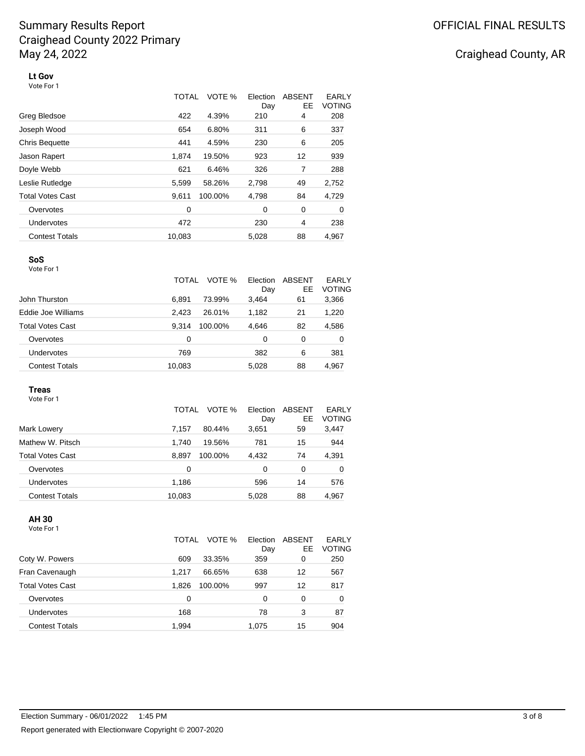# Craighead County, AR

**Lt Gov** Vote For 1

|                         | TOTAL  | VOTE %  | Election<br>Day | <b>ABSENT</b><br>EE | EARLY<br><b>VOTING</b> |
|-------------------------|--------|---------|-----------------|---------------------|------------------------|
| Greg Bledsoe            | 422    | 4.39%   | 210             | 4                   | 208                    |
| Joseph Wood             | 654    | 6.80%   | 311             | 6                   | 337                    |
| <b>Chris Bequette</b>   | 441    | 4.59%   | 230             | 6                   | 205                    |
| Jason Rapert            | 1,874  | 19.50%  | 923             | 12                  | 939                    |
| Doyle Webb              | 621    | 6.46%   | 326             | 7                   | 288                    |
| Leslie Rutledge         | 5,599  | 58.26%  | 2,798           | 49                  | 2,752                  |
| <b>Total Votes Cast</b> | 9.611  | 100.00% | 4,798           | 84                  | 4,729                  |
| Overvotes               | 0      |         | 0               | 0                   | 0                      |
| <b>Undervotes</b>       | 472    |         | 230             | 4                   | 238                    |
| <b>Contest Totals</b>   | 10,083 |         | 5,028           | 88                  | 4,967                  |

#### **SoS** Vote For 1

|                       | VOTE %<br>TOTAL  | Election<br>Day | ABSENT<br>EE | EARLY<br><b>VOTING</b> |
|-----------------------|------------------|-----------------|--------------|------------------------|
| John Thurston         | 73.99%<br>6.891  | 3,464           | 61           | 3,366                  |
| Eddie Joe Williams    | 2.423<br>26.01%  | 1,182           | 21           | 1,220                  |
| Total Votes Cast      | 100.00%<br>9.314 | 4,646           | 82           | 4,586                  |
| Overvotes             | 0                | 0               | 0            | 0                      |
| Undervotes            | 769              | 382             | 6            | 381                    |
| <b>Contest Totals</b> | 10,083           | 5,028           | 88           | 4,967                  |
|                       |                  |                 |              |                        |

#### **Treas**

Vote For 1

|                         | TOTAL  | VOTE %  | Election<br>Day | ABSENT<br>EE | EARLY<br>VOTING |
|-------------------------|--------|---------|-----------------|--------------|-----------------|
| Mark Lowery             | 7.157  | 80.44%  | 3,651           | 59           | 3,447           |
| Mathew W. Pitsch        | 1.740  | 19.56%  | 781             | 15           | 944             |
| <b>Total Votes Cast</b> | 8.897  | 100.00% | 4,432           | 74           | 4,391           |
| Overvotes               | 0      |         | 0               | 0            | 0               |
| Undervotes              | 1,186  |         | 596             | 14           | 576             |
| <b>Contest Totals</b>   | 10,083 |         | 5,028           | 88           | 4,967           |

### **AH 30**

Vote For 1

| Coty W. Powers          | TOTAL<br>609 | VOTE %<br>33.35% | Election<br>Day<br>359 | ABSENT<br>EE<br>0 | EARLY<br><b>VOTING</b><br>250 |
|-------------------------|--------------|------------------|------------------------|-------------------|-------------------------------|
|                         |              |                  |                        |                   |                               |
| Fran Cavenaugh          | 1.217        | 66.65%           | 638                    | 12                | 567                           |
| <b>Total Votes Cast</b> | 1.826        | 100.00%          | 997                    | 12                | 817                           |
| Overvotes               | 0            |                  | 0                      | $\Omega$          | 0                             |
| Undervotes              | 168          |                  | 78                     | 3                 | 87                            |
| <b>Contest Totals</b>   | 1,994        |                  | 1.075                  | 15                | 904                           |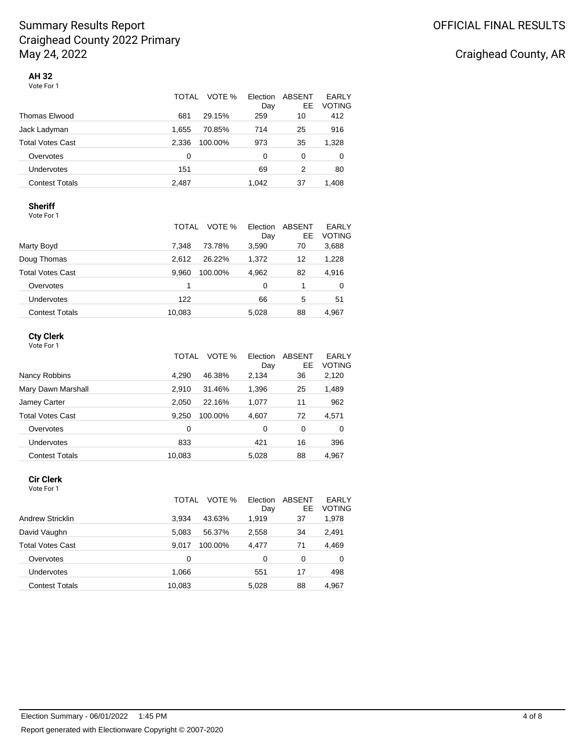|                       | TOTAL<br>VOTE %  | Election<br>Day | <b>ABSENT</b><br>EE. | EARLY<br><b>VOTING</b> |
|-----------------------|------------------|-----------------|----------------------|------------------------|
| Thomas Elwood         | 29.15%<br>681    | 259             | 10                   | 412                    |
| Jack Ladyman          | 1.655<br>70.85%  | 714             | 25                   | 916                    |
| Total Votes Cast      | 2.336<br>100.00% | 973             | 35                   | 1,328                  |
| Overvotes             | 0                | $\Omega$        | 0                    | 0                      |
| Undervotes            | 151              | 69              | 2                    | 80                     |
| <b>Contest Totals</b> | 2.487            | 1.042           | 37                   | 1.408                  |

#### **Sheriff**

| Vote For 1 |  |
|------------|--|
|            |  |

|                         | TOTAL  | VOTE %  | Election<br>Day | ABSENT<br>EE | EARLY<br><b>VOTING</b> |
|-------------------------|--------|---------|-----------------|--------------|------------------------|
| Marty Boyd              | 7.348  | 73.78%  | 3,590           | 70           | 3,688                  |
| Doug Thomas             | 2.612  | 26.22%  | 1.372           | 12           | 1,228                  |
| <b>Total Votes Cast</b> | 9.960  | 100.00% | 4,962           | 82           | 4,916                  |
| Overvotes               |        |         | 0               |              | 0                      |
| Undervotes              | 122    |         | 66              | 5            | 51                     |
| <b>Contest Totals</b>   | 10,083 |         | 5,028           | 88           | 4,967                  |

#### **Cty Clerk**

|                         | VOTE %<br>TOTAL  | Election<br>Day | <b>ABSENT</b><br>EE | <b>EARLY</b><br><b>VOTING</b> |
|-------------------------|------------------|-----------------|---------------------|-------------------------------|
| Nancy Robbins           | 4.290<br>46.38%  | 2,134           | 36                  | 2,120                         |
| Mary Dawn Marshall      | 2,910<br>31.46%  | 1,396           | 25                  | 1,489                         |
| Jamey Carter            | 22.16%<br>2,050  | 1,077           | 11                  | 962                           |
| <b>Total Votes Cast</b> | 9.250<br>100.00% | 4,607           | 72                  | 4,571                         |
| Overvotes               | 0                | 0               | 0                   | 0                             |
| Undervotes              | 833              | 421             | 16                  | 396                           |
| <b>Contest Totals</b>   | 10,083           | 5,028           | 88                  | 4.967                         |

#### **Cir Clerk**

| Vote For |  |
|----------|--|
|----------|--|

|                         | VOTE %<br>TOTAL  | Election<br>Day | ABSENT<br>EE | EARLY<br><b>VOTING</b> |
|-------------------------|------------------|-----------------|--------------|------------------------|
| <b>Andrew Stricklin</b> | 43.63%<br>3.934  | 1,919           | 37           | 1,978                  |
| David Vaughn            | 5.083<br>56.37%  | 2,558           | 34           | 2,491                  |
| <b>Total Votes Cast</b> | 9.017<br>100.00% | 4,477           | 71           | 4,469                  |
| Overvotes               | 0                | 0               | 0            | 0                      |
| <b>Undervotes</b>       | 1,066            | 551             | 17           | 498                    |
| <b>Contest Totals</b>   | 10,083           | 5,028           | 88           | 4.967                  |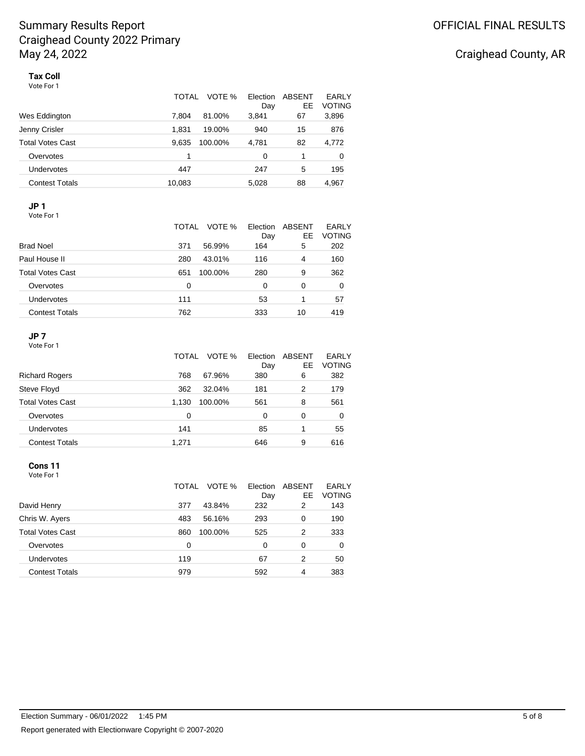|                         | VOTE %<br>TOTAL  | Election<br>Day | ABSENT<br>EE | <b>EARLY</b><br><b>VOTING</b> |
|-------------------------|------------------|-----------------|--------------|-------------------------------|
| Wes Eddington           | 7.804<br>81.00%  | 3,841           | 67           | 3,896                         |
| Jenny Crisler           | 1.831<br>19.00%  | 940             | 15           | 876                           |
| <b>Total Votes Cast</b> | 9.635<br>100.00% | 4,781           | 82           | 4,772                         |
| Overvotes               | 1                | 0               | 1            | 0                             |
| Undervotes              | 447              | 247             | 5            | 195                           |
| Contest Totals          | 10,083           | 5.028           | 88           | 4.967                         |

## **JP 1**

Vote For 1

|                         | VOTE %<br>TOTAL | Election<br>Day | ABSENT<br>EE. | EARLY<br><b>VOTING</b> |
|-------------------------|-----------------|-----------------|---------------|------------------------|
| <b>Brad Noel</b>        | 56.99%<br>371   | 164             | 5             | 202                    |
| Paul House II           | 280<br>43.01%   | 116             | 4             | 160                    |
| <b>Total Votes Cast</b> | 651<br>100.00%  | 280             | 9             | 362                    |
| Overvotes               | 0               | 0               | 0             | 0                      |
| <b>Undervotes</b>       | 111             | 53              |               | 57                     |
| <b>Contest Totals</b>   | 762             | 333             | 10            | 419                    |

#### **JP 7**

Vote For 1

|                         | TOTAL | VOTE %  | Election<br>Day | ABSENT<br>EE. | EARLY<br><b>VOTING</b> |
|-------------------------|-------|---------|-----------------|---------------|------------------------|
| <b>Richard Rogers</b>   | 768   | 67.96%  | 380             | 6             | 382                    |
| Steve Floyd             | 362   | 32.04%  | 181             | 2             | 179                    |
| <b>Total Votes Cast</b> | 1.130 | 100.00% | 561             | 8             | 561                    |
| Overvotes               | 0     |         | 0               | 0             | 0                      |
| <b>Undervotes</b>       | 141   |         | 85              | 1             | 55                     |
| <b>Contest Totals</b>   | 1.271 |         | 646             | 9             | 616                    |

#### **Cons 11**

Vote For 1

|                         | TOTAL | VOTE %  | Election<br>Day | ABSENT<br>EE | <b>EARLY</b><br><b>VOTING</b> |
|-------------------------|-------|---------|-----------------|--------------|-------------------------------|
| David Henry             | 377   | 43.84%  | 232             | 2            | 143                           |
| Chris W. Ayers          | 483   | 56.16%  | 293             | 0            | 190                           |
| <b>Total Votes Cast</b> | 860   | 100.00% | 525             | 2            | 333                           |
| Overvotes               | 0     |         | 0               | 0            | 0                             |
| Undervotes              | 119   |         | 67              | 2            | 50                            |
| <b>Contest Totals</b>   | 979   |         | 592             | 4            | 383                           |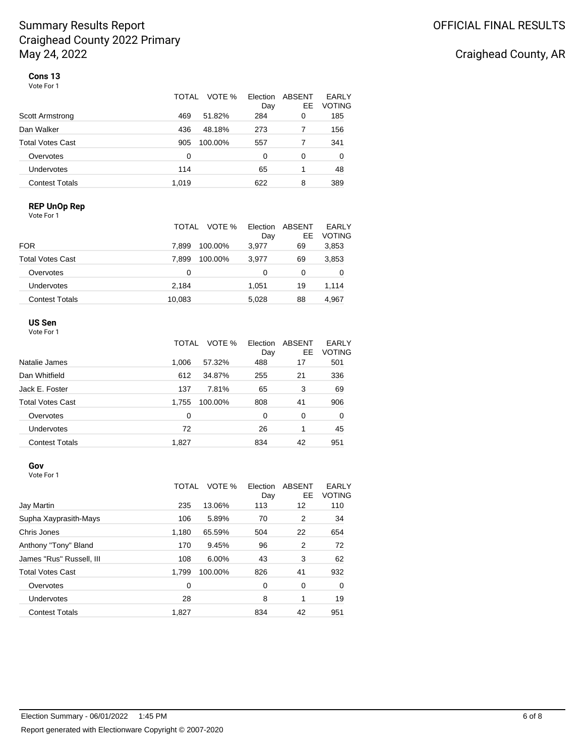# Craighead County, AR

**Cons 13** Vote For 1

|                         | TOTAL<br>VOTE % | Election<br>Day | ABSENT<br>EE | EARLY<br><b>VOTING</b> |
|-------------------------|-----------------|-----------------|--------------|------------------------|
| Scott Armstrong         | 469<br>51.82%   | 284             | 0            | 185                    |
| Dan Walker              | 436<br>48.18%   | 273             | 7            | 156                    |
| <b>Total Votes Cast</b> | 905<br>100.00%  | 557             | 7            | 341                    |
| Overvotes               | 0               | 0               | 0            | 0                      |
| Undervotes              | 114             | 65              |              | 48                     |
| <b>Contest Totals</b>   | 1.019           | 622             | 8            | 389                    |

### **REP UnOp Rep**

| Vote For 1              |                  |                 |              |                        |
|-------------------------|------------------|-----------------|--------------|------------------------|
|                         | VOTE %<br>TOTAL  | Election<br>Day | ABSENT<br>EE | EARLY<br><b>VOTING</b> |
| <b>FOR</b>              | 7.899<br>100.00% | 3.977           | 69           | 3,853                  |
| <b>Total Votes Cast</b> | 7.899<br>100.00% | 3,977           | 69           | 3,853                  |
| Overvotes               | 0                | 0               | 0            | 0                      |
| Undervotes              | 2,184            | 1.051           | 19           | 1,114                  |
| <b>Contest Totals</b>   | 10,083           | 5,028           | 88           | 4.967                  |

#### **US Sen**

| Vote For 1 |  |
|------------|--|
|------------|--|

|                       | TOTAL | VOTE %  | Election<br>Day | ABSENT<br>EE | EARLY<br><b>VOTING</b> |
|-----------------------|-------|---------|-----------------|--------------|------------------------|
| Natalie James         | 1.006 | 57.32%  | 488             | 17           | 501                    |
| Dan Whitfield         | 612   | 34.87%  | 255             | 21           | 336                    |
| Jack E. Foster        | 137   | 7.81%   | 65              | 3            | 69                     |
| Total Votes Cast      | 1.755 | 100.00% | 808             | 41           | 906                    |
| Overvotes             | 0     |         | 0               | $\Omega$     | 0                      |
| Undervotes            | 72    |         | 26              | 1            | 45                     |
| <b>Contest Totals</b> | 1,827 |         | 834             | 42           | 951                    |

#### **Gov**

Vote For 1

|                          | TOTAL | VOTE %  | Election<br>Day | ABSENT<br>EE   | EARLY<br><b>VOTING</b> |
|--------------------------|-------|---------|-----------------|----------------|------------------------|
| Jay Martin               | 235   | 13.06%  | 113             | 12             | 110                    |
| Supha Xayprasith-Mays    | 106   | 5.89%   | 70              | 2              | 34                     |
| Chris Jones              | 1,180 | 65.59%  | 504             | 22             | 654                    |
| Anthony "Tony" Bland     | 170   | 9.45%   | 96              | $\overline{2}$ | 72                     |
| James "Rus" Russell, III | 108   | 6.00%   | 43              | 3              | 62                     |
| <b>Total Votes Cast</b>  | 1.799 | 100.00% | 826             | 41             | 932                    |
| Overvotes                | 0     |         | 0               | 0              | 0                      |
| Undervotes               | 28    |         | 8               | 1              | 19                     |
| <b>Contest Totals</b>    | 1,827 |         | 834             | 42             | 951                    |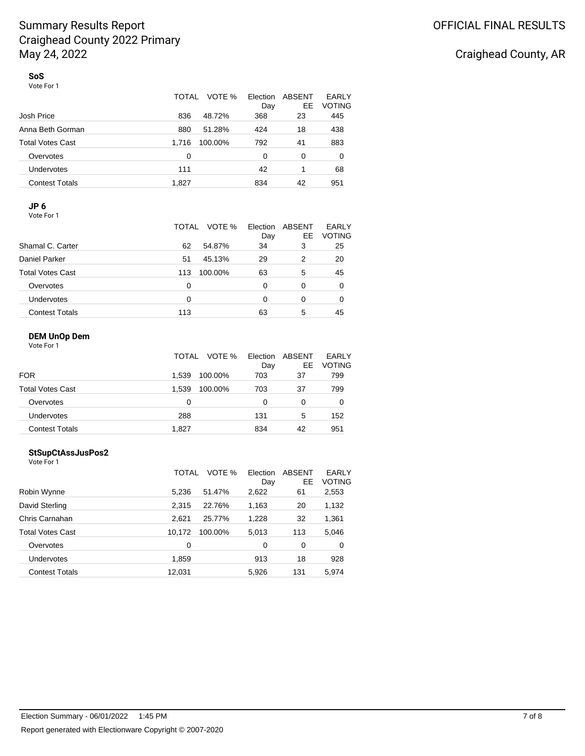|                       | <b>TOTAL</b><br>VOTE % | Election<br>Day | ABSENT<br>EE | EARLY<br><b>VOTING</b> |
|-----------------------|------------------------|-----------------|--------------|------------------------|
| Josh Price            | 836<br>48.72%          | 368             | 23           | 445                    |
| Anna Beth Gorman      | 51.28%<br>880          | 424             | 18           | 438                    |
| Total Votes Cast      | 100.00%<br>1.716       | 792             | 41           | 883                    |
| Overvotes             | 0                      | 0               | 0            | 0                      |
| <b>Undervotes</b>     | 111                    | 42              |              | 68                     |
| <b>Contest Totals</b> | 1.827                  | 834             | 42           | 951                    |

### **JP 6**

Vote For 1

| Shamal C. Carter        | VOTE %<br>TOTAL<br>62<br>54.87% | Election<br>Day<br>34 | ABSENT<br>EE.<br>3 | EARLY<br><b>VOTING</b><br>25 |
|-------------------------|---------------------------------|-----------------------|--------------------|------------------------------|
| Daniel Parker           | 45.13%<br>51                    | 29                    | 2                  | 20                           |
| <b>Total Votes Cast</b> | 100.00%<br>113                  | 63                    | 5                  | 45                           |
| Overvotes               | 0                               | 0                     | 0                  | 0                            |
| <b>Undervotes</b>       | 0                               | 0                     | 0                  | 0                            |
| <b>Contest Totals</b>   | 113                             | 63                    | 5                  | 45                           |

#### **DEM UnOp Dem**

|                         | VOTE %<br>TOTAL  | Election<br>Day | ABSENT<br>EE. | EARLY<br><b>VOTING</b> |
|-------------------------|------------------|-----------------|---------------|------------------------|
| <b>FOR</b>              | 1.539<br>100.00% | 703             | 37            | 799                    |
| <b>Total Votes Cast</b> | 1.539<br>100.00% | 703             | 37            | 799                    |
| Overvotes               | 0                | ი               | 0             | O                      |
| <b>Undervotes</b>       | 288              | 131             | 5             | 152                    |
| <b>Contest Totals</b>   | 1.827            | 834             | 42            | 951                    |

#### **StSupCtAssJusPos2**

Vote For 1

|                         | VOTE %<br>TOTAL   | Election<br>Day | ABSENT<br>EE | EARLY<br><b>VOTING</b> |
|-------------------------|-------------------|-----------------|--------------|------------------------|
| Robin Wynne             | 5,236<br>51.47%   | 2,622           | 61           | 2,553                  |
| David Sterling          | 2,315<br>22.76%   | 1,163           | 20           | 1,132                  |
| Chris Carnahan          | 2,621<br>25.77%   | 1,228           | 32           | 1,361                  |
| <b>Total Votes Cast</b> | 10.172<br>100.00% | 5,013           | 113          | 5,046                  |
| Overvotes               | 0                 | 0               | 0            | 0                      |
| Undervotes              | 1,859             | 913             | 18           | 928                    |
| <b>Contest Totals</b>   | 12,031            | 5,926           | 131          | 5,974                  |
|                         |                   |                 |              |                        |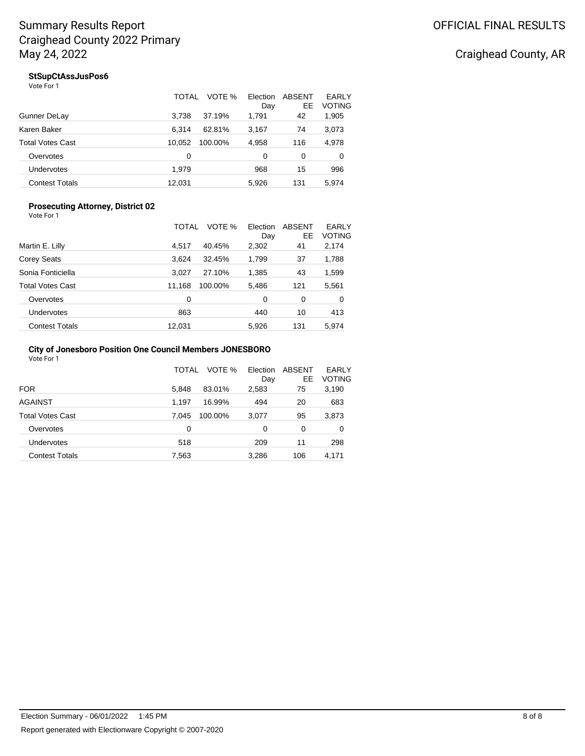## Craighead County, AR

### **StSupCtAssJusPos6**

|                       | TOTAL<br>VOTE %   | Election<br>Day | ABSENT<br>EE. | EARLY<br><b>VOTING</b> |
|-----------------------|-------------------|-----------------|---------------|------------------------|
| Gunner DeLay          | 3.738<br>37.19%   | 1,791           | 42            | 1,905                  |
| Karen Baker           | 6.314<br>62.81%   | 3,167           | 74            | 3,073                  |
| Total Votes Cast      | 10.052<br>100.00% | 4,958           | 116           | 4,978                  |
| Overvotes             | 0                 | 0               | 0             | 0                      |
| Undervotes            | 1,979             | 968             | 15            | 996                    |
| <b>Contest Totals</b> | 12.031            | 5.926           | 131           | 5.974                  |

#### **Prosecuting Attorney, District 02** Vote For 1

|                         | VOTE %<br>TOTAL   | Election<br>Day | ABSENT<br>EE | EARLY<br><b>VOTING</b> |
|-------------------------|-------------------|-----------------|--------------|------------------------|
| Martin E. Lilly         | 40.45%<br>4.517   | 2,302           | 41           | 2,174                  |
| Corey Seats             | 3.624<br>32.45%   | 1,799           | 37           | 1,788                  |
| Sonia Fonticiella       | 27.10%<br>3,027   | 1,385           | 43           | 1,599                  |
| <b>Total Votes Cast</b> | 11,168<br>100.00% | 5,486           | 121          | 5,561                  |
| Overvotes               | 0                 | 0               | 0            | 0                      |
| Undervotes              | 863               | 440             | 10           | 413                    |
| <b>Contest Totals</b>   | 12,031            | 5,926           | 131          | 5.974                  |

#### **City of Jonesboro Position One Council Members JONESBORO** Vote For 1

|                         | TOTAL | VOTE %  | Election<br>Day | ABSENT<br>EE | EARLY<br><b>VOTING</b> |
|-------------------------|-------|---------|-----------------|--------------|------------------------|
| <b>FOR</b>              | 5,848 | 83.01%  | 2,583           | 75           | 3,190                  |
| <b>AGAINST</b>          | 1.197 | 16.99%  | 494             | 20           | 683                    |
| <b>Total Votes Cast</b> | 7.045 | 100.00% | 3,077           | 95           | 3,873                  |
| Overvotes               | 0     |         | 0               | 0            | 0                      |
| Undervotes              | 518   |         | 209             | 11           | 298                    |
| <b>Contest Totals</b>   | 7,563 |         | 3,286           | 106          | 4,171                  |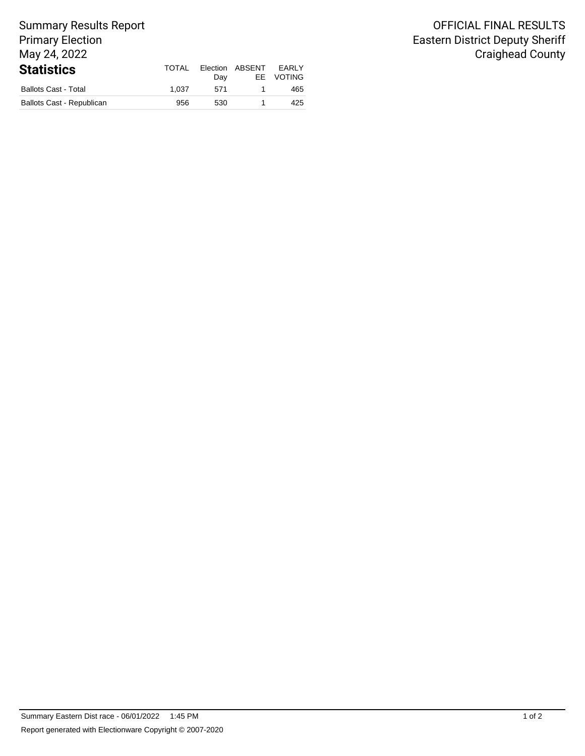#### Summary Results Report Primary Election May 24, 2022 **Statistics** TOTAL Day Election ABSENT EE Ballots Cast - Total 1,037 571 1 465

Ballots Cast - Republican 1 1 425

EARLY VOTING

## OFFICIAL FINAL RESULTS Eastern District Deputy Sheriff Craighead County